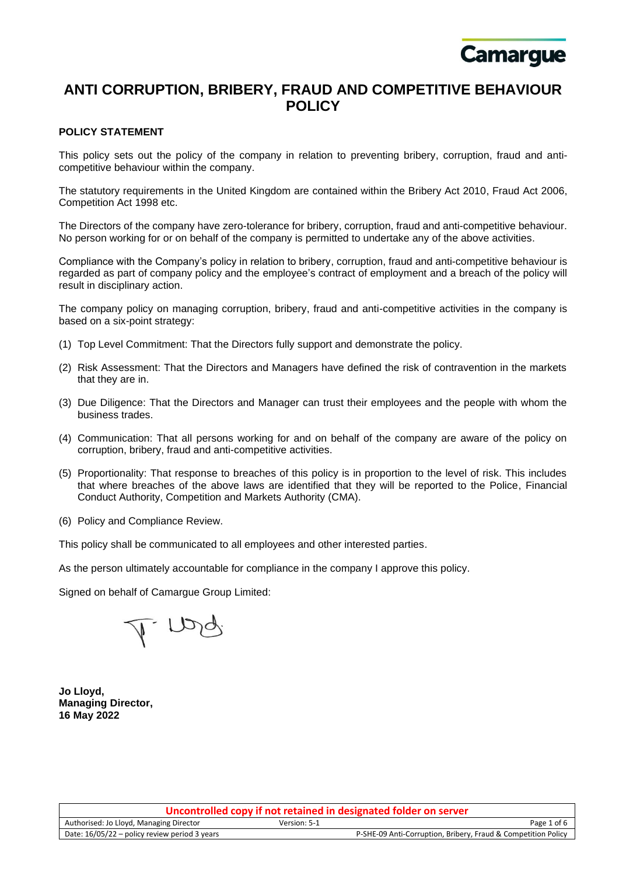

# **ANTI CORRUPTION, BRIBERY, FRAUD AND COMPETITIVE BEHAVIOUR POLICY**

# **POLICY STATEMENT**

This policy sets out the policy of the company in relation to preventing bribery, corruption, fraud and anticompetitive behaviour within the company.

The statutory requirements in the United Kingdom are contained within the Bribery Act 2010, Fraud Act 2006, Competition Act 1998 etc.

The Directors of the company have zero-tolerance for bribery, corruption, fraud and anti-competitive behaviour. No person working for or on behalf of the company is permitted to undertake any of the above activities.

Compliance with the Company's policy in relation to bribery, corruption, fraud and anti-competitive behaviour is regarded as part of company policy and the employee's contract of employment and a breach of the policy will result in disciplinary action.

The company policy on managing corruption, bribery, fraud and anti-competitive activities in the company is based on a six-point strategy:

- (1) Top Level Commitment: That the Directors fully support and demonstrate the policy.
- (2) Risk Assessment: That the Directors and Managers have defined the risk of contravention in the markets that they are in.
- (3) Due Diligence: That the Directors and Manager can trust their employees and the people with whom the business trades.
- (4) Communication: That all persons working for and on behalf of the company are aware of the policy on corruption, bribery, fraud and anti-competitive activities.
- (5) Proportionality: That response to breaches of this policy is in proportion to the level of risk. This includes that where breaches of the above laws are identified that they will be reported to the Police, Financial Conduct Authority, Competition and Markets Authority (CMA).
- (6) Policy and Compliance Review.

This policy shall be communicated to all employees and other interested parties.

As the person ultimately accountable for compliance in the company I approve this policy.

Signed on behalf of Camargue Group Limited:

I ng

**Jo Lloyd, Managing Director, 16 May 2022**

| Uncontrolled copy if not retained in designated folder on server |              |                                                               |
|------------------------------------------------------------------|--------------|---------------------------------------------------------------|
| Authorised: Jo Lloyd, Managing Director                          | Version: 5-1 | Page 1 of 6                                                   |
| Date: 16/05/22 – policy review period 3 years                    |              | P-SHE-09 Anti-Corruption, Bribery, Fraud & Competition Policy |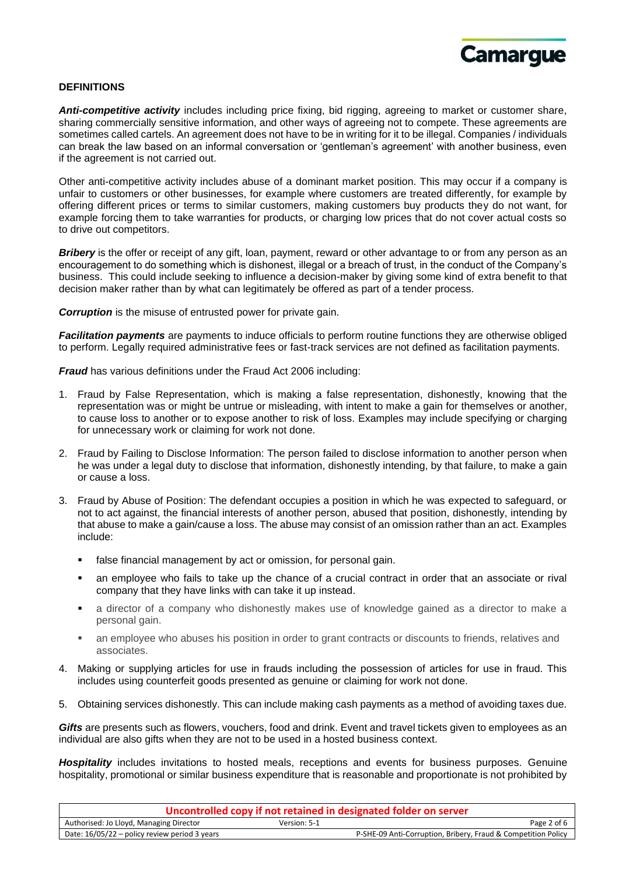

#### **DEFINITIONS**

*Anti-competitive activity* includes including price fixing, bid rigging, agreeing to market or customer share, sharing commercially sensitive information, and other ways of agreeing not to compete. These agreements are sometimes called cartels. An agreement does not have to be in writing for it to be illegal. Companies / individuals can break the law based on an informal conversation or 'gentleman's agreement' with another business, even if the agreement is not carried out.

Other anti-competitive activity includes abuse of a dominant market position. This may occur if a company is unfair to customers or other businesses, for example where customers are treated differently, for example by offering different prices or terms to similar customers, making customers buy products they do not want, for example forcing them to take warranties for products, or charging low prices that do not cover actual costs so to drive out competitors.

*Bribery* is the offer or receipt of any gift, loan, payment, reward or other advantage to or from any person as an encouragement to do something which is dishonest, illegal or a breach of trust, in the conduct of the Company's business. This could include seeking to influence a decision-maker by giving some kind of extra benefit to that decision maker rather than by what can legitimately be offered as part of a tender process.

*Corruption* is the misuse of entrusted power for private gain.

*Facilitation payments* are payments to induce officials to perform routine functions they are otherwise obliged to perform. Legally required administrative fees or fast-track services are not defined as facilitation payments.

**Fraud** has various definitions under the Fraud Act 2006 including:

- 1. Fraud by False Representation, which is making a false representation, dishonestly, knowing that the representation was or might be untrue or misleading, with intent to make a gain for themselves or another, to cause loss to another or to expose another to risk of loss. Examples may include specifying or charging for unnecessary work or claiming for work not done.
- 2. Fraud by Failing to Disclose Information: The person failed to disclose information to another person when he was under a legal duty to disclose that information, dishonestly intending, by that failure, to make a gain or cause a loss.
- 3. Fraud by Abuse of Position: The defendant occupies a position in which he was expected to safeguard, or not to act against, the financial interests of another person, abused that position, dishonestly, intending by that abuse to make a gain/cause a loss. The abuse may consist of an omission rather than an act. Examples include:
	- false financial management by act or omission, for personal gain.
	- an employee who fails to take up the chance of a crucial contract in order that an associate or rival company that they have links with can take it up instead.
	- a director of a company who dishonestly makes use of knowledge gained as a director to make a personal gain.
	- an employee who abuses his position in order to grant contracts or discounts to friends, relatives and associates.
- 4. Making or supplying articles for use in frauds including the possession of articles for use in fraud. This includes using counterfeit goods presented as genuine or claiming for work not done.
- 5. Obtaining services dishonestly. This can include making cash payments as a method of avoiding taxes due.

*Gifts* are presents such as flowers, vouchers, food and drink. Event and travel tickets given to employees as an individual are also gifts when they are not to be used in a hosted business context.

Hospitality includes invitations to hosted meals, receptions and events for business purposes. Genuine hospitality, promotional or similar business expenditure that is reasonable and proportionate is not prohibited by

| Uncontrolled copy if not retained in designated folder on server |              |                                                               |
|------------------------------------------------------------------|--------------|---------------------------------------------------------------|
| Authorised: Jo Lloyd, Managing Director                          | Version: 5-1 | Page 2 of 6                                                   |
| Date: 16/05/22 – policy review period 3 years                    |              | P-SHE-09 Anti-Corruption, Bribery, Fraud & Competition Policy |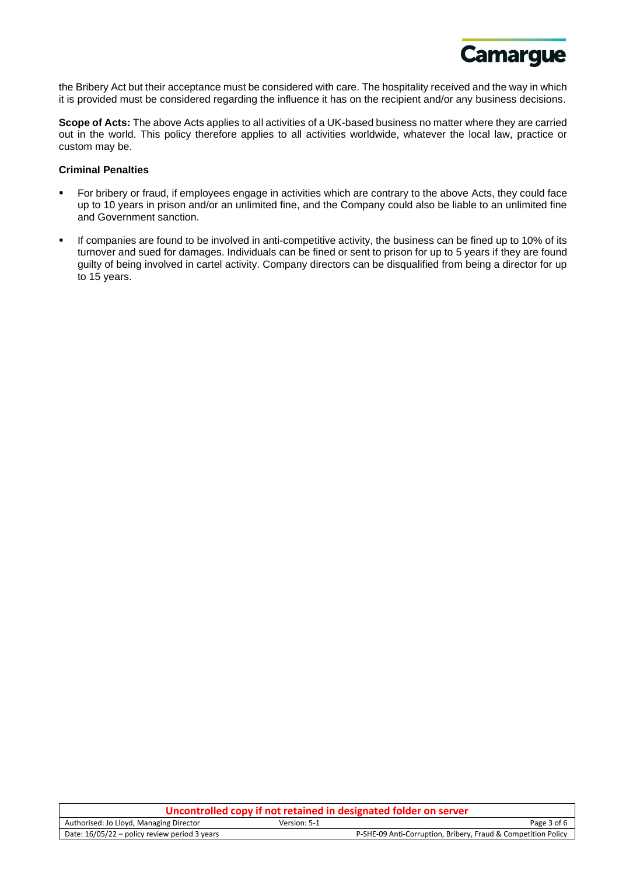

the Bribery Act but their acceptance must be considered with care. The hospitality received and the way in which it is provided must be considered regarding the influence it has on the recipient and/or any business decisions.

**Scope of Acts:** The above Acts applies to all activities of a UK-based business no matter where they are carried out in the world. This policy therefore applies to all activities worldwide, whatever the local law, practice or custom may be.

## **Criminal Penalties**

- For bribery or fraud, if employees engage in activities which are contrary to the above Acts, they could face up to 10 years in prison and/or an unlimited fine, and the Company could also be liable to an unlimited fine and Government sanction.
- If companies are found to be involved in anti-competitive activity, the business can be fined up to 10% of its turnover and sued for damages. Individuals can be fined or sent to prison for up to 5 years if they are found guilty of being involved in cartel activity. Company directors can be disqualified from being a director for up to 15 years.

| Uncontrolled copy if not retained in designated folder on server |              |                                                               |
|------------------------------------------------------------------|--------------|---------------------------------------------------------------|
| Authorised: Jo Lloyd, Managing Director                          | Version: 5-1 | Page 3 of 6                                                   |
| Date: $16/05/22$ – policy review period 3 years                  |              | P-SHE-09 Anti-Corruption, Bribery, Fraud & Competition Policy |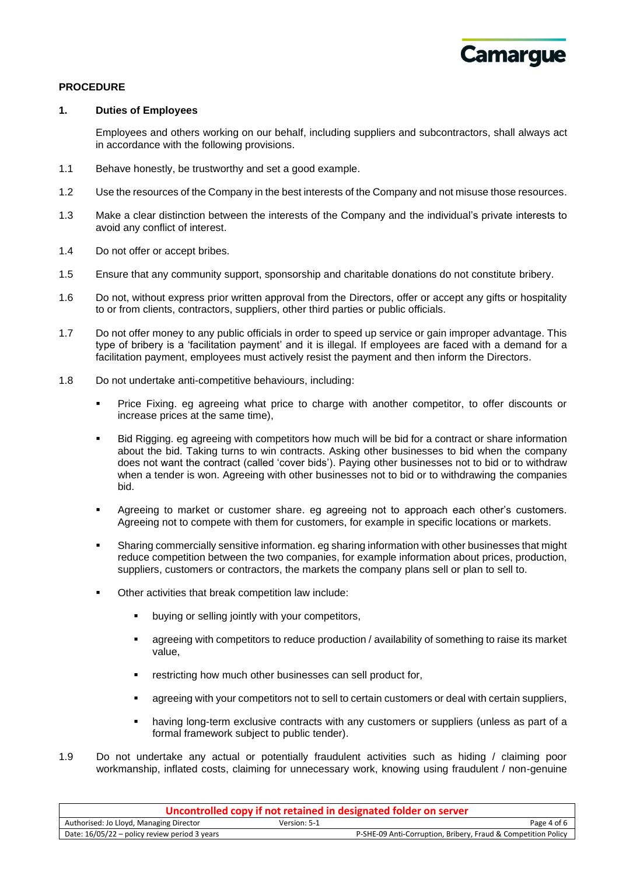

#### **PROCEDURE**

#### **1. Duties of Employees**

Employees and others working on our behalf, including suppliers and subcontractors, shall always act in accordance with the following provisions.

- 1.1 Behave honestly, be trustworthy and set a good example.
- 1.2 Use the resources of the Company in the best interests of the Company and not misuse those resources.
- 1.3 Make a clear distinction between the interests of the Company and the individual's private interests to avoid any conflict of interest.
- 1.4 Do not offer or accept bribes.
- 1.5 Ensure that any community support, sponsorship and charitable donations do not constitute bribery.
- 1.6 Do not, without express prior written approval from the Directors, offer or accept any gifts or hospitality to or from clients, contractors, suppliers, other third parties or public officials.
- 1.7 Do not offer money to any public officials in order to speed up service or gain improper advantage. This type of bribery is a 'facilitation payment' and it is illegal. If employees are faced with a demand for a facilitation payment, employees must actively resist the payment and then inform the Directors.
- 1.8 Do not undertake anti-competitive behaviours, including:
	- Price Fixing. eg agreeing what price to charge with another competitor, to offer discounts or increase prices at the same time),
	- Bid Rigging. eg agreeing with competitors how much will be bid for a contract or share information about the bid. Taking turns to win contracts. Asking other businesses to bid when the company does not want the contract (called 'cover bids'). Paying other businesses not to bid or to withdraw when a tender is won. Agreeing with other businesses not to bid or to withdrawing the companies bid.
	- Agreeing to market or customer share, eg agreeing not to approach each other's customers. Agreeing not to compete with them for customers, for example in specific locations or markets.
	- Sharing commercially sensitive information. eg sharing information with other businesses that might reduce competition between the two companies, for example information about prices, production, suppliers, customers or contractors, the markets the company plans sell or plan to sell to.
	- Other activities that break competition law include:
		- buying or selling jointly with your competitors,
		- agreeing with competitors to reduce production / availability of something to raise its market value,
		- restricting how much other businesses can sell product for,
		- **•** agreeing with your competitors not to sell to certain customers or deal with certain suppliers,
		- having long-term exclusive contracts with any customers or suppliers (unless as part of a formal framework subject to public tender).
- 1.9 Do not undertake any actual or potentially fraudulent activities such as hiding / claiming poor workmanship, inflated costs, claiming for unnecessary work, knowing using fraudulent / non-genuine

| Uncontrolled copy if not retained in designated folder on server |              |                                                               |
|------------------------------------------------------------------|--------------|---------------------------------------------------------------|
| Authorised: Jo Lloyd, Managing Director                          | Version: 5-1 | Page 4 of 6                                                   |
| Date: $16/05/22$ – policy review period 3 years                  |              | P-SHE-09 Anti-Corruption, Bribery, Fraud & Competition Policy |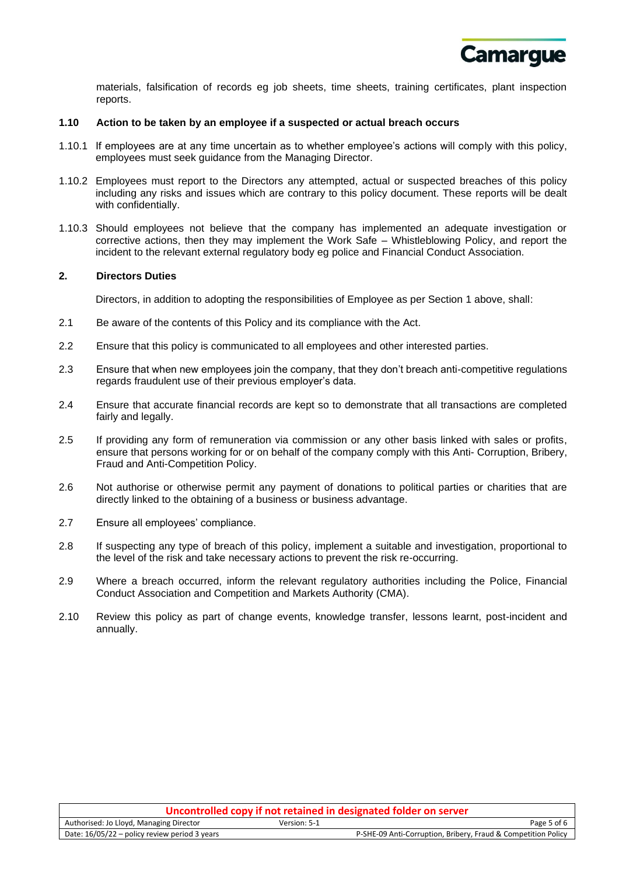

materials, falsification of records eg job sheets, time sheets, training certificates, plant inspection reports.

#### **1.10 Action to be taken by an employee if a suspected or actual breach occurs**

- 1.10.1 If employees are at any time uncertain as to whether employee's actions will comply with this policy, employees must seek guidance from the Managing Director.
- 1.10.2 Employees must report to the Directors any attempted, actual or suspected breaches of this policy including any risks and issues which are contrary to this policy document. These reports will be dealt with confidentially.
- 1.10.3 Should employees not believe that the company has implemented an adequate investigation or corrective actions, then they may implement the Work Safe – Whistleblowing Policy, and report the incident to the relevant external regulatory body eg police and Financial Conduct Association.

### **2. Directors Duties**

Directors, in addition to adopting the responsibilities of Employee as per Section 1 above, shall:

- 2.1 Be aware of the contents of this Policy and its compliance with the Act.
- 2.2 Ensure that this policy is communicated to all employees and other interested parties.
- 2.3 Ensure that when new employees join the company, that they don't breach anti-competitive regulations regards fraudulent use of their previous employer's data.
- 2.4 Ensure that accurate financial records are kept so to demonstrate that all transactions are completed fairly and legally.
- 2.5 If providing any form of remuneration via commission or any other basis linked with sales or profits, ensure that persons working for or on behalf of the company comply with this Anti- Corruption, Bribery, Fraud and Anti-Competition Policy.
- 2.6 Not authorise or otherwise permit any payment of donations to political parties or charities that are directly linked to the obtaining of a business or business advantage.
- 2.7 Ensure all employees' compliance.
- 2.8 If suspecting any type of breach of this policy, implement a suitable and investigation, proportional to the level of the risk and take necessary actions to prevent the risk re-occurring.
- 2.9 Where a breach occurred, inform the relevant regulatory authorities including the Police, Financial Conduct Association and Competition and Markets Authority (CMA).
- 2.10 Review this policy as part of change events, knowledge transfer, lessons learnt, post-incident and annually.

| Uncontrolled copy if not retained in designated folder on server |              |                                                               |
|------------------------------------------------------------------|--------------|---------------------------------------------------------------|
| Authorised: Jo Lloyd, Managing Director                          | Version: 5-1 | Page 5 of 6                                                   |
| Date: 16/05/22 – policy review period 3 years                    |              | P-SHE-09 Anti-Corruption, Bribery, Fraud & Competition Policy |